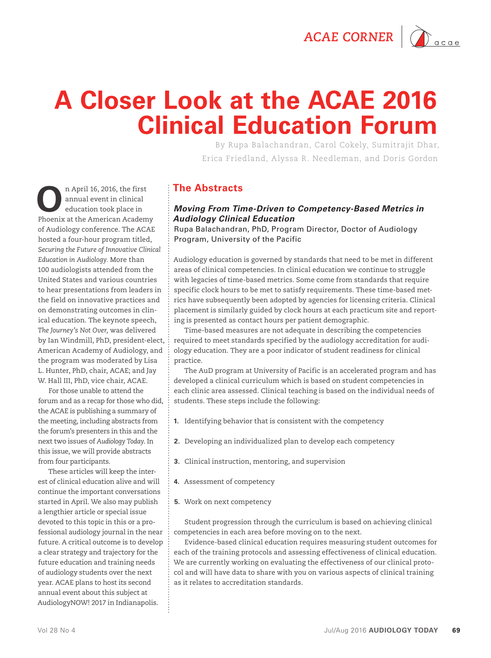ACAE CORNER  $\bigcap_{\text{acge}}$ 



# **A Closer Look at the ACAE 2016 Clinical Education Forum**

By Rupa Balachandran, Carol Cokely, Sumitrajit Dhar, Erica Friedland, Alyssa R. Needleman, and Doris Gordon

**O**n April 16, 2016, the first annual event in clinical education took place in Phoenix at the American Academy of Audiology conference. The ACAE hosted a four-hour program titled, *Securing the Future of Innovative Clinical Education in Audiology.* More than 100 audiologists attended from the United States and various countries to hear presentations from leaders in the field on innovative practices and on demonstrating outcomes in clinical education. The keynote speech, *The Journey's Not Over,* was delivered by Ian Windmill, PhD, president-elect, American Academy of Audiology, and the program was moderated by Lisa L. Hunter, PhD, chair, ACAE; and Jay W. Hall III, PhD, vice chair, ACAE.

For those unable to attend the forum and as a recap for those who did, the ACAE is publishing a summary of the meeting, including abstracts from the forum's presenters in this and the next two issues of *Audiology Today*. In this issue, we will provide abstracts from four participants.

These articles will keep the interest of clinical education alive and will continue the important conversations started in April. We also may publish a lengthier article or special issue devoted to this topic in this or a professional audiology journal in the near future. A critical outcome is to develop a clear strategy and trajectory for the future education and training needs of audiology students over the next year. ACAE plans to host its second annual event about this subject at AudiologyNOW! 2017 in Indianapolis.

## **The Abstracts**

#### *Moving From Time-Driven to Competency-Based Metrics in Audiology Clinical Education*

Rupa Balachandran, PhD, Program Director, Doctor of Audiology Program, University of the Pacific

Audiology education is governed by standards that need to be met in different areas of clinical competencies. In clinical education we continue to struggle with legacies of time-based metrics. Some come from standards that require specific clock hours to be met to satisfy requirements. These time-based metrics have subsequently been adopted by agencies for licensing criteria. Clinical placement is similarly guided by clock hours at each practicum site and reporting is presented as contact hours per patient demographic.

Time-based measures are not adequate in describing the competencies required to meet standards specified by the audiology accreditation for audiology education. They are a poor indicator of student readiness for clinical practice.

The AuD program at University of Pacific is an accelerated program and has developed a clinical curriculum which is based on student competencies in each clinic area assessed. Clinical teaching is based on the individual needs of students. These steps include the following:

- **1.** Identifying behavior that is consistent with the competency
- **2.** Developing an individualized plan to develop each competency
- **3.** Clinical instruction, mentoring, and supervision
- **4.** Assessment of competency
- **5.** Work on next competency

Student progression through the curriculum is based on achieving clinical competencies in each area before moving on to the next.

Evidence-based clinical education requires measuring student outcomes for each of the training protocols and assessing effectiveness of clinical education. We are currently working on evaluating the effectiveness of our clinical protocol and will have data to share with you on various aspects of clinical training as it relates to accreditation standards.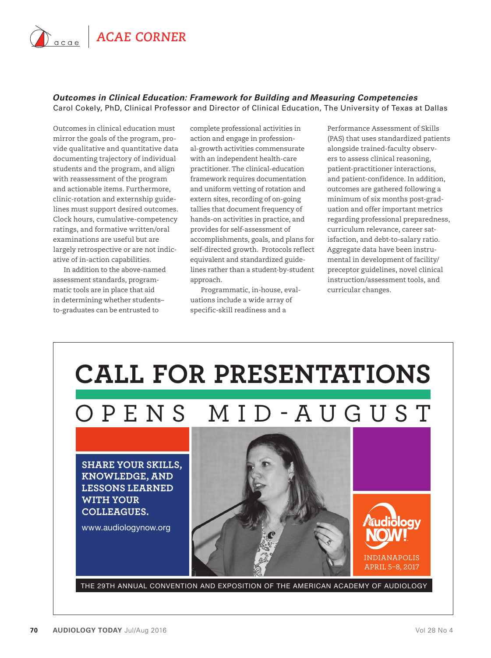

#### *Outcomes in Clinical Education: Framework for Building and Measuring Competencies* Carol Cokely, PhD, Clinical Professor and Director of Clinical Education, The University of Texas at Dallas

Outcomes in clinical education must mirror the goals of the program, provide qualitative and quantitative data documenting trajectory of individual students and the program, and align with reassessment of the program and actionable items. Furthermore, clinic-rotation and externship guidelines must support desired outcomes. Clock hours, cumulative-competency ratings, and formative written/oral examinations are useful but are largely retrospective or are not indicative of in-action capabilities.

In addition to the above-named assessment standards, programmatic tools are in place that aid in determining whether students– to-graduates can be entrusted to

complete professional activities in action and engage in professional-growth activities commensurate with an independent health-care practitioner. The clinical-education framework requires documentation and uniform vetting of rotation and extern sites, recording of on-going tallies that document frequency of hands-on activities in practice, and provides for self-assessment of accomplishments, goals, and plans for self-directed growth. Protocols reflect equivalent and standardized guidelines rather than a student-by-student approach.

Programmatic, in-house, evaluations include a wide array of specific-skill readiness and a

Performance Assessment of Skills (PAS) that uses standardized patients alongside trained-faculty observers to assess clinical reasoning, patient-practitioner interactions, and patient-confidence. In addition, outcomes are gathered following a minimum of six months post-graduation and offer important metrics regarding professional preparedness, curriculum relevance, career satisfaction, and debt-to-salary ratio. Aggregate data have been instrumental in development of facility/ preceptor guidelines, novel clinical instruction/assessment tools, and curricular changes.